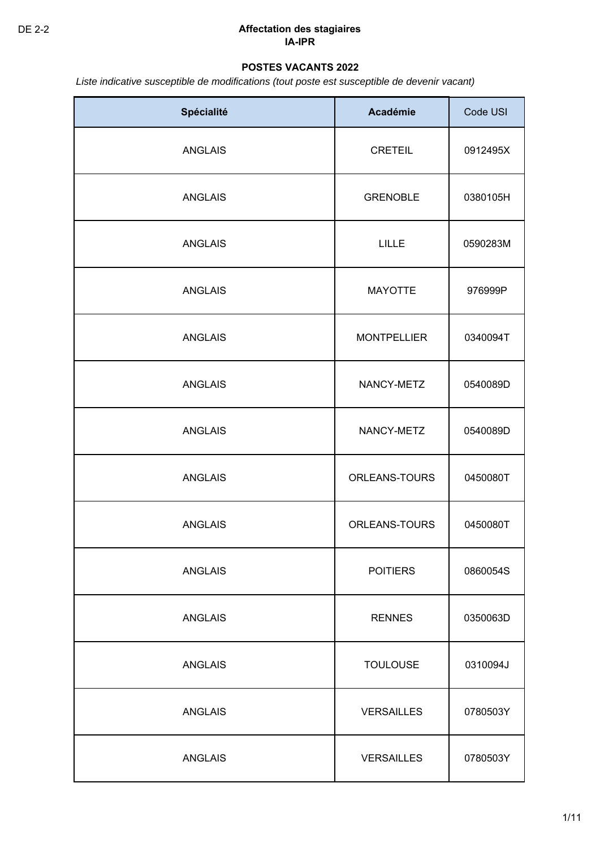# **POSTES VACANTS 2022**

*Liste indicative susceptible de modifications (tout poste est susceptible de devenir vacant)*

| Spécialité     | <b>Académie</b>    | Code USI |
|----------------|--------------------|----------|
| <b>ANGLAIS</b> | <b>CRETEIL</b>     | 0912495X |
| <b>ANGLAIS</b> | <b>GRENOBLE</b>    | 0380105H |
| <b>ANGLAIS</b> | <b>LILLE</b>       | 0590283M |
| <b>ANGLAIS</b> | <b>MAYOTTE</b>     | 976999P  |
| <b>ANGLAIS</b> | <b>MONTPELLIER</b> | 0340094T |
| <b>ANGLAIS</b> | NANCY-METZ         | 0540089D |
| <b>ANGLAIS</b> | NANCY-METZ         | 0540089D |
| <b>ANGLAIS</b> | ORLEANS-TOURS      | 0450080T |
| <b>ANGLAIS</b> | ORLEANS-TOURS      | 0450080T |
| <b>ANGLAIS</b> | <b>POITIERS</b>    | 0860054S |
| <b>ANGLAIS</b> | <b>RENNES</b>      | 0350063D |
| <b>ANGLAIS</b> | <b>TOULOUSE</b>    | 0310094J |
| <b>ANGLAIS</b> | <b>VERSAILLES</b>  | 0780503Y |
| <b>ANGLAIS</b> | <b>VERSAILLES</b>  | 0780503Y |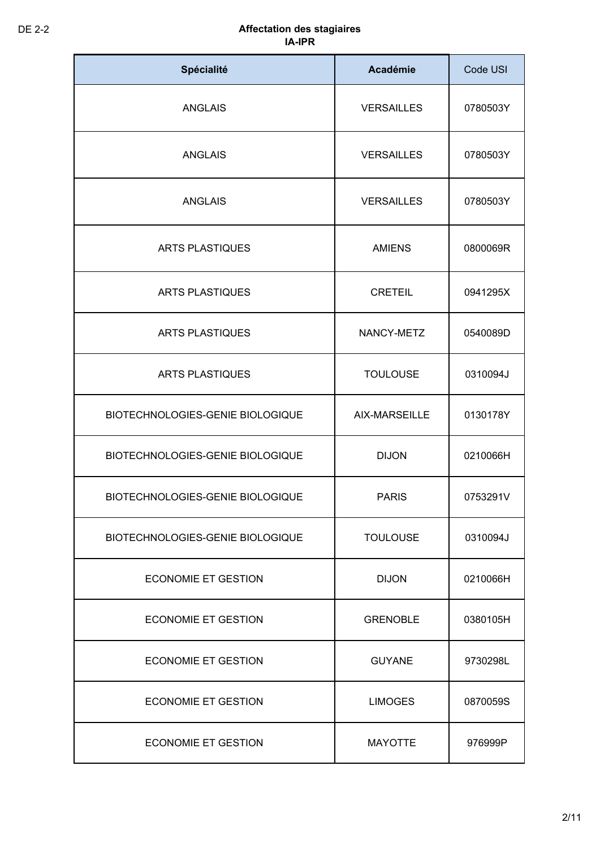| Spécialité                       | <b>Académie</b>   | Code USI |
|----------------------------------|-------------------|----------|
| <b>ANGLAIS</b>                   | <b>VERSAILLES</b> | 0780503Y |
| <b>ANGLAIS</b>                   | <b>VERSAILLES</b> | 0780503Y |
| <b>ANGLAIS</b>                   | <b>VERSAILLES</b> | 0780503Y |
| <b>ARTS PLASTIQUES</b>           | <b>AMIENS</b>     | 0800069R |
| <b>ARTS PLASTIQUES</b>           | <b>CRETEIL</b>    | 0941295X |
| <b>ARTS PLASTIQUES</b>           | NANCY-METZ        | 0540089D |
| <b>ARTS PLASTIQUES</b>           | <b>TOULOUSE</b>   | 0310094J |
| BIOTECHNOLOGIES-GENIE BIOLOGIQUE | AIX-MARSEILLE     | 0130178Y |
| BIOTECHNOLOGIES-GENIE BIOLOGIQUE | <b>DIJON</b>      | 0210066H |
| BIOTECHNOLOGIES-GENIE BIOLOGIQUE | <b>PARIS</b>      | 0753291V |
| BIOTECHNOLOGIES-GENIE BIOLOGIQUE | <b>TOULOUSE</b>   | 0310094J |
| <b>ECONOMIE ET GESTION</b>       | <b>DIJON</b>      | 0210066H |
| <b>ECONOMIE ET GESTION</b>       | <b>GRENOBLE</b>   | 0380105H |
| <b>ECONOMIE ET GESTION</b>       | <b>GUYANE</b>     | 9730298L |
| <b>ECONOMIE ET GESTION</b>       | <b>LIMOGES</b>    | 0870059S |
| <b>ECONOMIE ET GESTION</b>       | <b>MAYOTTE</b>    | 976999P  |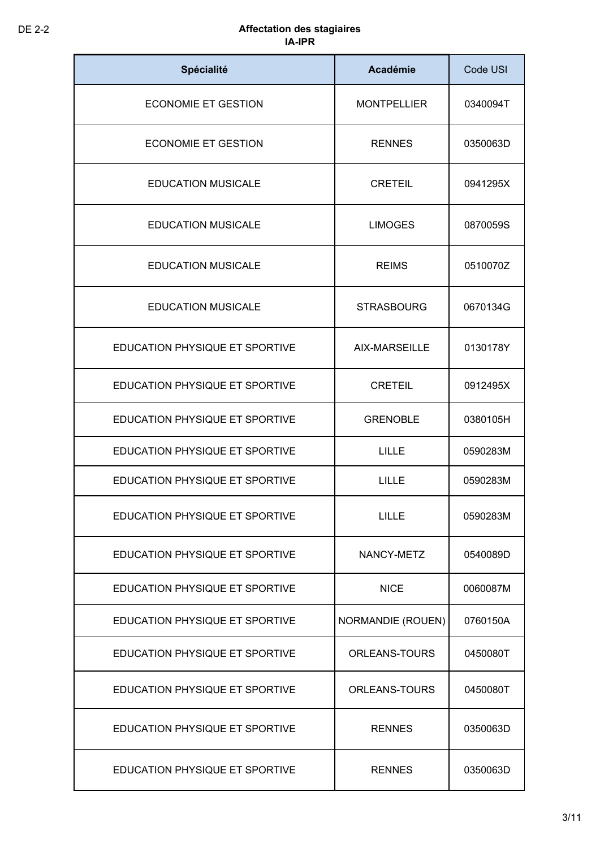| Spécialité                     | Académie                 | Code USI |
|--------------------------------|--------------------------|----------|
| <b>ECONOMIE ET GESTION</b>     | <b>MONTPELLIER</b>       | 0340094T |
| <b>ECONOMIE ET GESTION</b>     | <b>RENNES</b>            | 0350063D |
| <b>EDUCATION MUSICALE</b>      | <b>CRETEIL</b>           | 0941295X |
| <b>EDUCATION MUSICALE</b>      | <b>LIMOGES</b>           | 0870059S |
| <b>EDUCATION MUSICALE</b>      | <b>REIMS</b>             | 0510070Z |
| <b>EDUCATION MUSICALE</b>      | <b>STRASBOURG</b>        | 0670134G |
| EDUCATION PHYSIQUE ET SPORTIVE | AIX-MARSEILLE            | 0130178Y |
| EDUCATION PHYSIQUE ET SPORTIVE | <b>CRETEIL</b>           | 0912495X |
| EDUCATION PHYSIQUE ET SPORTIVE | <b>GRENOBLE</b>          | 0380105H |
| EDUCATION PHYSIQUE ET SPORTIVE | <b>LILLE</b>             | 0590283M |
| EDUCATION PHYSIQUE ET SPORTIVE | <b>LILLE</b>             | 0590283M |
| EDUCATION PHYSIQUE ET SPORTIVE | <b>LILLE</b>             | 0590283M |
| EDUCATION PHYSIQUE ET SPORTIVE | NANCY-METZ               | 0540089D |
| EDUCATION PHYSIQUE ET SPORTIVE | <b>NICE</b>              | 0060087M |
| EDUCATION PHYSIQUE ET SPORTIVE | <b>NORMANDIE (ROUEN)</b> | 0760150A |
| EDUCATION PHYSIQUE ET SPORTIVE | ORLEANS-TOURS            | 0450080T |
| EDUCATION PHYSIQUE ET SPORTIVE | ORLEANS-TOURS            | 0450080T |
| EDUCATION PHYSIQUE ET SPORTIVE | <b>RENNES</b>            | 0350063D |
| EDUCATION PHYSIQUE ET SPORTIVE | <b>RENNES</b>            | 0350063D |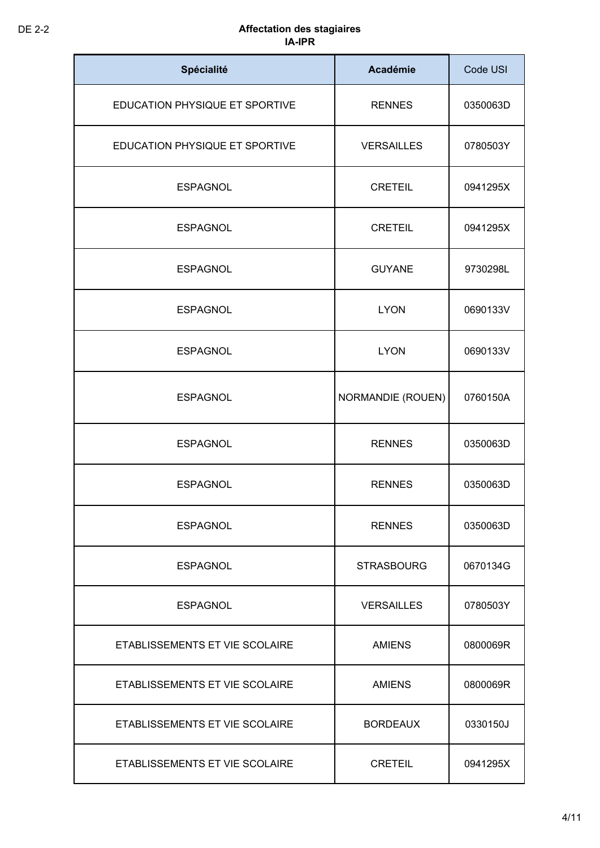| Spécialité                     | <b>Académie</b>          | Code USI |
|--------------------------------|--------------------------|----------|
| EDUCATION PHYSIQUE ET SPORTIVE | <b>RENNES</b>            | 0350063D |
| EDUCATION PHYSIQUE ET SPORTIVE | <b>VERSAILLES</b>        | 0780503Y |
| <b>ESPAGNOL</b>                | <b>CRETEIL</b>           | 0941295X |
| <b>ESPAGNOL</b>                | <b>CRETEIL</b>           | 0941295X |
| <b>ESPAGNOL</b>                | <b>GUYANE</b>            | 9730298L |
| <b>ESPAGNOL</b>                | <b>LYON</b>              | 0690133V |
| <b>ESPAGNOL</b>                | <b>LYON</b>              | 0690133V |
| <b>ESPAGNOL</b>                | <b>NORMANDIE (ROUEN)</b> | 0760150A |
| <b>ESPAGNOL</b>                | <b>RENNES</b>            | 0350063D |
| <b>ESPAGNOL</b>                | <b>RENNES</b>            | 0350063D |
| <b>ESPAGNOL</b>                | <b>RENNES</b>            | 0350063D |
| <b>ESPAGNOL</b>                | <b>STRASBOURG</b>        | 0670134G |
| <b>ESPAGNOL</b>                | <b>VERSAILLES</b>        | 0780503Y |
| ETABLISSEMENTS ET VIE SCOLAIRE | <b>AMIENS</b>            | 0800069R |
| ETABLISSEMENTS ET VIE SCOLAIRE | <b>AMIENS</b>            | 0800069R |
| ETABLISSEMENTS ET VIE SCOLAIRE | <b>BORDEAUX</b>          | 0330150J |
| ETABLISSEMENTS ET VIE SCOLAIRE | <b>CRETEIL</b>           | 0941295X |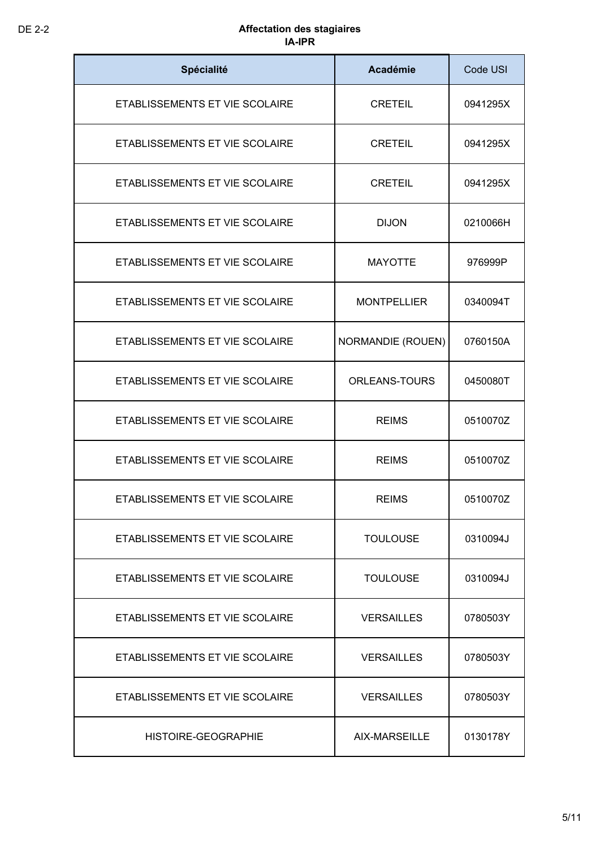| Spécialité                     | <b>Académie</b>          | Code USI |
|--------------------------------|--------------------------|----------|
| ETABLISSEMENTS ET VIE SCOLAIRE | <b>CRETEIL</b>           | 0941295X |
| ETABLISSEMENTS ET VIE SCOLAIRE | <b>CRETEIL</b>           | 0941295X |
| ETABLISSEMENTS ET VIE SCOLAIRE | <b>CRETEIL</b>           | 0941295X |
| ETABLISSEMENTS ET VIE SCOLAIRE | <b>DIJON</b>             | 0210066H |
| ETABLISSEMENTS ET VIE SCOLAIRE | <b>MAYOTTE</b>           | 976999P  |
| ETABLISSEMENTS ET VIE SCOLAIRE | <b>MONTPELLIER</b>       | 0340094T |
| ETABLISSEMENTS ET VIE SCOLAIRE | <b>NORMANDIE (ROUEN)</b> | 0760150A |
| ETABLISSEMENTS ET VIE SCOLAIRE | ORLEANS-TOURS            | 0450080T |
| ETABLISSEMENTS ET VIE SCOLAIRE | <b>REIMS</b>             | 0510070Z |
| ETABLISSEMENTS ET VIE SCOLAIRE | <b>REIMS</b>             | 0510070Z |
| ETABLISSEMENTS ET VIE SCOLAIRE | <b>REIMS</b>             | 0510070Z |
| ETABLISSEMENTS ET VIE SCOLAIRE | <b>TOULOUSE</b>          | 0310094J |
| ETABLISSEMENTS ET VIE SCOLAIRE | <b>TOULOUSE</b>          | 0310094J |
| ETABLISSEMENTS ET VIE SCOLAIRE | <b>VERSAILLES</b>        | 0780503Y |
| ETABLISSEMENTS ET VIE SCOLAIRE | <b>VERSAILLES</b>        | 0780503Y |
| ETABLISSEMENTS ET VIE SCOLAIRE | <b>VERSAILLES</b>        | 0780503Y |
| HISTOIRE-GEOGRAPHIE            | AIX-MARSEILLE            | 0130178Y |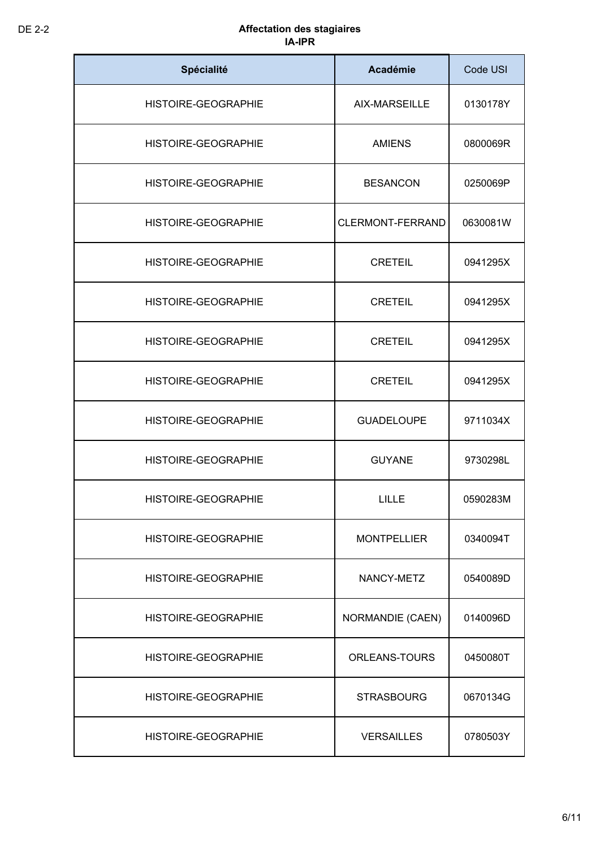| Spécialité                 | <b>Académie</b>         | Code USI |
|----------------------------|-------------------------|----------|
| HISTOIRE-GEOGRAPHIE        | AIX-MARSEILLE           | 0130178Y |
| HISTOIRE-GEOGRAPHIE        | <b>AMIENS</b>           | 0800069R |
| HISTOIRE-GEOGRAPHIE        | <b>BESANCON</b>         | 0250069P |
| HISTOIRE-GEOGRAPHIE        | CLERMONT-FERRAND        | 0630081W |
| <b>HISTOIRE-GEOGRAPHIE</b> | <b>CRETEIL</b>          | 0941295X |
| HISTOIRE-GEOGRAPHIE        | <b>CRETEIL</b>          | 0941295X |
| HISTOIRE-GEOGRAPHIE        | <b>CRETEIL</b>          | 0941295X |
| HISTOIRE-GEOGRAPHIE        | <b>CRETEIL</b>          | 0941295X |
| HISTOIRE-GEOGRAPHIE        | <b>GUADELOUPE</b>       | 9711034X |
| HISTOIRE-GEOGRAPHIE        | <b>GUYANE</b>           | 9730298L |
| HISTOIRE-GEOGRAPHIE        | <b>LILLE</b>            | 0590283M |
| <b>HISTOIRE-GEOGRAPHIE</b> | <b>MONTPELLIER</b>      | 0340094T |
| <b>HISTOIRE-GEOGRAPHIE</b> | NANCY-METZ              | 0540089D |
| <b>HISTOIRE-GEOGRAPHIE</b> | <b>NORMANDIE (CAEN)</b> | 0140096D |
| <b>HISTOIRE-GEOGRAPHIE</b> | ORLEANS-TOURS           | 0450080T |
| HISTOIRE-GEOGRAPHIE        | <b>STRASBOURG</b>       | 0670134G |
| <b>HISTOIRE-GEOGRAPHIE</b> | <b>VERSAILLES</b>       | 0780503Y |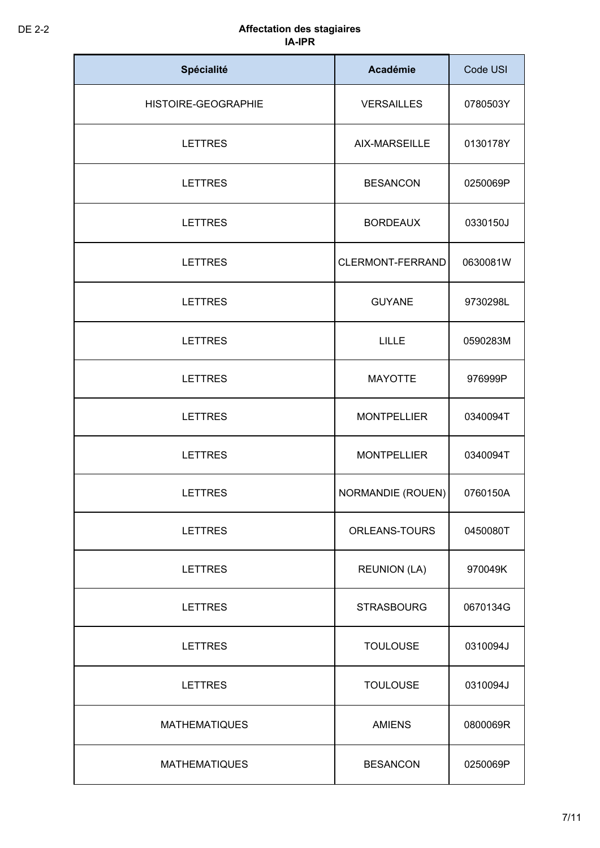| Spécialité           | <b>Académie</b>          | Code USI |
|----------------------|--------------------------|----------|
| HISTOIRE-GEOGRAPHIE  | <b>VERSAILLES</b>        | 0780503Y |
| <b>LETTRES</b>       | AIX-MARSEILLE            | 0130178Y |
| <b>LETTRES</b>       | <b>BESANCON</b>          | 0250069P |
| <b>LETTRES</b>       | <b>BORDEAUX</b>          | 0330150J |
| <b>LETTRES</b>       | CLERMONT-FERRAND         | 0630081W |
| <b>LETTRES</b>       | <b>GUYANE</b>            | 9730298L |
| <b>LETTRES</b>       | <b>LILLE</b>             | 0590283M |
| <b>LETTRES</b>       | <b>MAYOTTE</b>           | 976999P  |
| <b>LETTRES</b>       | <b>MONTPELLIER</b>       | 0340094T |
| <b>LETTRES</b>       | <b>MONTPELLIER</b>       | 0340094T |
| <b>LETTRES</b>       | <b>NORMANDIE (ROUEN)</b> | 0760150A |
| <b>LETTRES</b>       | <b>ORLEANS-TOURS</b>     | 0450080T |
| <b>LETTRES</b>       | <b>REUNION (LA)</b>      | 970049K  |
| <b>LETTRES</b>       | <b>STRASBOURG</b>        | 0670134G |
| <b>LETTRES</b>       | <b>TOULOUSE</b>          | 0310094J |
| <b>LETTRES</b>       | <b>TOULOUSE</b>          | 0310094J |
| <b>MATHEMATIQUES</b> | <b>AMIENS</b>            | 0800069R |
| <b>MATHEMATIQUES</b> | <b>BESANCON</b>          | 0250069P |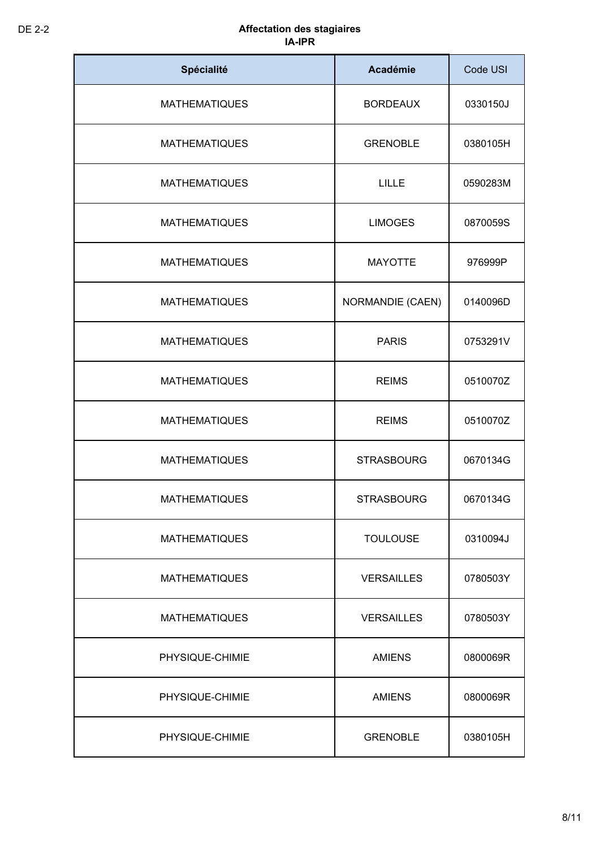| Spécialité           | <b>Académie</b>   | Code USI |
|----------------------|-------------------|----------|
| <b>MATHEMATIQUES</b> | <b>BORDEAUX</b>   | 0330150J |
| <b>MATHEMATIQUES</b> | <b>GRENOBLE</b>   | 0380105H |
| <b>MATHEMATIQUES</b> | <b>LILLE</b>      | 0590283M |
| <b>MATHEMATIQUES</b> | <b>LIMOGES</b>    | 0870059S |
| <b>MATHEMATIQUES</b> | <b>MAYOTTE</b>    | 976999P  |
| <b>MATHEMATIQUES</b> | NORMANDIE (CAEN)  | 0140096D |
| <b>MATHEMATIQUES</b> | <b>PARIS</b>      | 0753291V |
| <b>MATHEMATIQUES</b> | <b>REIMS</b>      | 0510070Z |
| <b>MATHEMATIQUES</b> | <b>REIMS</b>      | 0510070Z |
| <b>MATHEMATIQUES</b> | <b>STRASBOURG</b> | 0670134G |
| <b>MATHEMATIQUES</b> | <b>STRASBOURG</b> | 0670134G |
| <b>MATHEMATIQUES</b> | <b>TOULOUSE</b>   | 0310094J |
| <b>MATHEMATIQUES</b> | <b>VERSAILLES</b> | 0780503Y |
| <b>MATHEMATIQUES</b> | <b>VERSAILLES</b> | 0780503Y |
| PHYSIQUE-CHIMIE      | <b>AMIENS</b>     | 0800069R |
| PHYSIQUE-CHIMIE      | <b>AMIENS</b>     | 0800069R |
| PHYSIQUE-CHIMIE      | <b>GRENOBLE</b>   | 0380105H |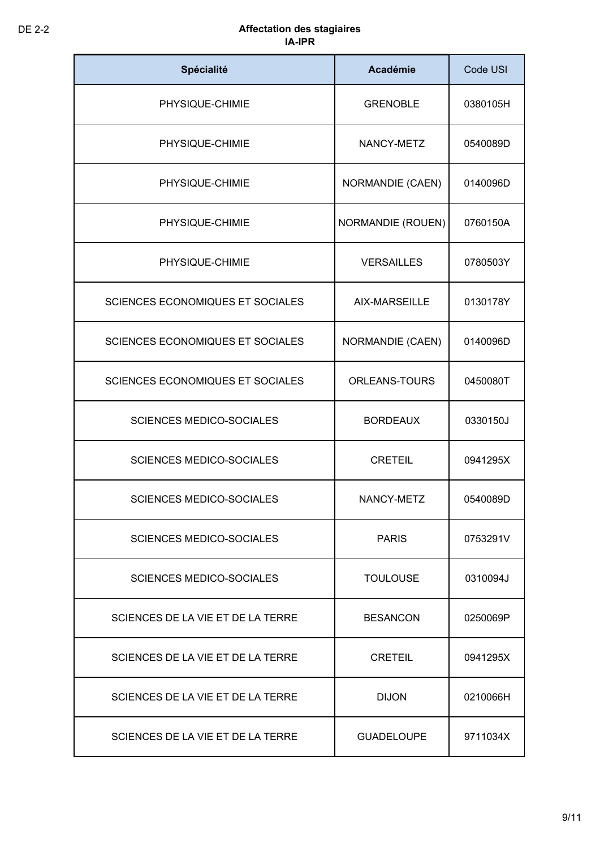| Spécialité                              | <b>Académie</b>          | Code USI |
|-----------------------------------------|--------------------------|----------|
| PHYSIQUE-CHIMIE                         | <b>GRENOBLE</b>          | 0380105H |
| PHYSIQUE-CHIMIE                         | NANCY-METZ               | 0540089D |
| PHYSIQUE-CHIMIE                         | <b>NORMANDIE (CAEN)</b>  | 0140096D |
| PHYSIQUE-CHIMIE                         | <b>NORMANDIE (ROUEN)</b> | 0760150A |
| PHYSIQUE-CHIMIE                         | <b>VERSAILLES</b>        | 0780503Y |
| <b>SCIENCES ECONOMIQUES ET SOCIALES</b> | AIX-MARSEILLE            | 0130178Y |
| <b>SCIENCES ECONOMIQUES ET SOCIALES</b> | <b>NORMANDIE (CAEN)</b>  | 0140096D |
| <b>SCIENCES ECONOMIQUES ET SOCIALES</b> | <b>ORLEANS-TOURS</b>     | 0450080T |
| <b>SCIENCES MEDICO-SOCIALES</b>         | <b>BORDEAUX</b>          | 0330150J |
| <b>SCIENCES MEDICO-SOCIALES</b>         | <b>CRETEIL</b>           | 0941295X |
| <b>SCIENCES MEDICO-SOCIALES</b>         | NANCY-METZ               | 0540089D |
| <b>SCIENCES MEDICO-SOCIALES</b>         | <b>PARIS</b>             | 0753291V |
| <b>SCIENCES MEDICO-SOCIALES</b>         | <b>TOULOUSE</b>          | 0310094J |
| SCIENCES DE LA VIE ET DE LA TERRE       | <b>BESANCON</b>          | 0250069P |
| SCIENCES DE LA VIE ET DE LA TERRE       | <b>CRETEIL</b>           | 0941295X |
| SCIENCES DE LA VIE ET DE LA TERRE       | <b>DIJON</b>             | 0210066H |
| SCIENCES DE LA VIE ET DE LA TERRE       | <b>GUADELOUPE</b>        | 9711034X |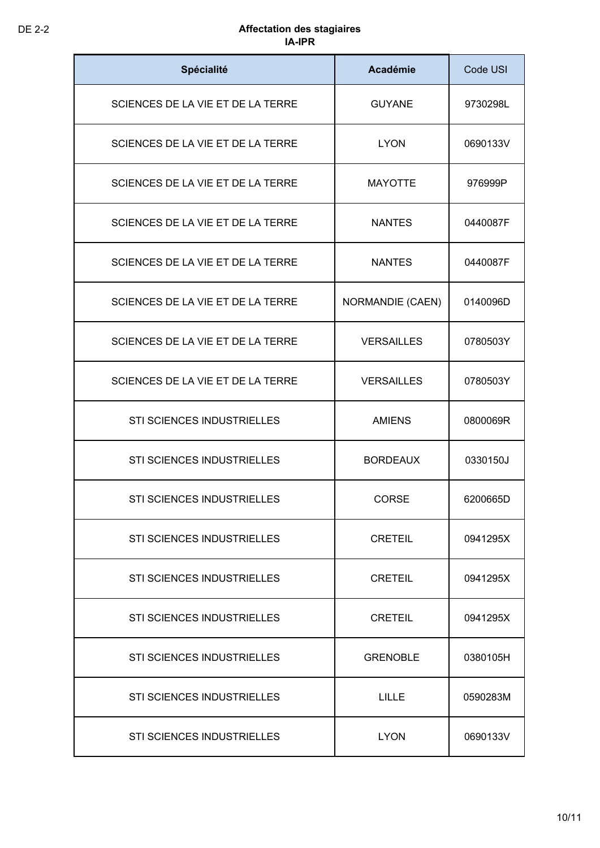| Spécialité                        | <b>Académie</b>   | Code USI |
|-----------------------------------|-------------------|----------|
| SCIENCES DE LA VIE ET DE LA TERRE | <b>GUYANE</b>     | 9730298L |
| SCIENCES DE LA VIE ET DE LA TERRE | <b>LYON</b>       | 0690133V |
| SCIENCES DE LA VIE ET DE LA TERRE | <b>MAYOTTE</b>    | 976999P  |
| SCIENCES DE LA VIE ET DE LA TERRE | <b>NANTES</b>     | 0440087F |
| SCIENCES DE LA VIE ET DE LA TERRE | <b>NANTES</b>     | 0440087F |
| SCIENCES DE LA VIE ET DE LA TERRE | NORMANDIE (CAEN)  | 0140096D |
| SCIENCES DE LA VIE ET DE LA TERRE | <b>VERSAILLES</b> | 0780503Y |
| SCIENCES DE LA VIE ET DE LA TERRE | <b>VERSAILLES</b> | 0780503Y |
| STI SCIENCES INDUSTRIELLES        | <b>AMIENS</b>     | 0800069R |
| STI SCIENCES INDUSTRIELLES        | <b>BORDEAUX</b>   | 0330150J |
| STI SCIENCES INDUSTRIELLES        | CORSE             | 6200665D |
| STI SCIENCES INDUSTRIELLES        | <b>CRETEIL</b>    | 0941295X |
| <b>STI SCIENCES INDUSTRIELLES</b> | <b>CRETEIL</b>    | 0941295X |
| <b>STI SCIENCES INDUSTRIELLES</b> | <b>CRETEIL</b>    | 0941295X |
| STI SCIENCES INDUSTRIELLES        | <b>GRENOBLE</b>   | 0380105H |
| STI SCIENCES INDUSTRIELLES        | <b>LILLE</b>      | 0590283M |
| STI SCIENCES INDUSTRIELLES        | <b>LYON</b>       | 0690133V |